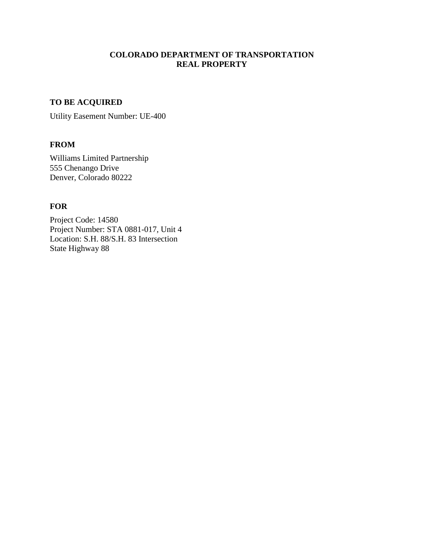# **COLORADO DEPARTMENT OF TRANSPORTATION REAL PROPERTY**

# **TO BE ACQUIRED**

Utility Easement Number: UE-400

## **FROM**

Williams Limited Partnership 555 Chenango Drive Denver, Colorado 80222

# **FOR**

Project Code: 14580 Project Number: STA 0881-017, Unit 4 Location: S.H. 88/S.H. 83 Intersection State Highway 88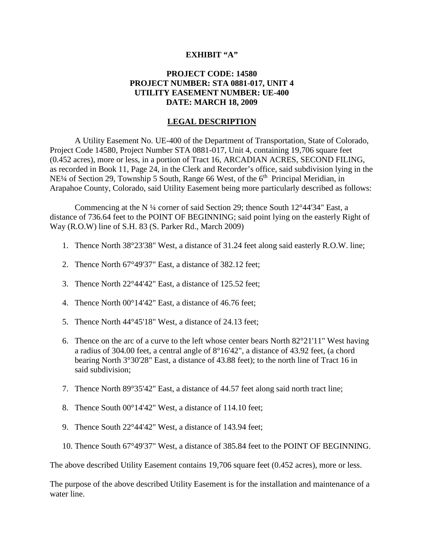### **EXHIBIT "A"**

## **PROJECT CODE: 14580 PROJECT NUMBER: STA 0881-017, UNIT 4 UTILITY EASEMENT NUMBER: UE-400 DATE: MARCH 18, 2009**

### **LEGAL DESCRIPTION**

A Utility Easement No. UE-400 of the Department of Transportation, State of Colorado, Project Code 14580, Project Number STA 0881-017, Unit 4, containing 19,706 square feet (0.452 acres), more or less, in a portion of Tract 16, ARCADIAN ACRES, SECOND FILING, as recorded in Book 11, Page 24, in the Clerk and Recorder's office, said subdivision lying in the NE<sup>1</sup>/4 of Section 29, Township 5 South, Range 66 West, of the 6<sup>th</sup> Principal Meridian, in Arapahoe County, Colorado, said Utility Easement being more particularly described as follows:

Commencing at the N  $\frac{1}{4}$  corner of said Section 29; thence South 12°44'34" East, a distance of 736.64 feet to the POINT OF BEGINNING; said point lying on the easterly Right of Way (R.O.W) line of S.H. 83 (S. Parker Rd., March 2009)

- 1. Thence North 38°23'38" West, a distance of 31.24 feet along said easterly R.O.W. line;
- 2. Thence North 67°49'37" East, a distance of 382.12 feet;
- 3. Thence North 22°44'42" East, a distance of 125.52 feet;
- 4. Thence North 00°14'42" East, a distance of 46.76 feet;
- 5. Thence North 44°45'18" West, a distance of 24.13 feet;
- 6. Thence on the arc of a curve to the left whose center bears North  $82^{\circ}21'11''$  West having a radius of 304.00 feet, a central angle of 8°16'42", a distance of 43.92 feet, (a chord bearing North 3°30'28" East, a distance of 43.88 feet); to the north line of Tract 16 in said subdivision;
- 7. Thence North 89°35'42" East, a distance of 44.57 feet along said north tract line;
- 8. Thence South 00°14'42" West, a distance of 114.10 feet;
- 9. Thence South 22°44'42" West, a distance of 143.94 feet;
- 10. Thence South 67°49'37" West, a distance of 385.84 feet to the POINT OF BEGINNING.

The above described Utility Easement contains 19,706 square feet (0.452 acres), more or less.

The purpose of the above described Utility Easement is for the installation and maintenance of a water line.